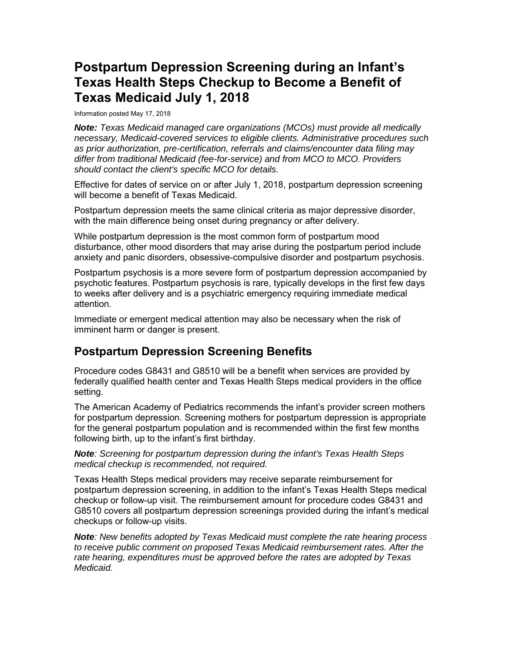# **Postpartum Depression Screening during an Infant's Texas Health Steps Checkup to Become a Benefit of Texas Medicaid July 1, 2018**

Information posted May 17, 2018

 *should contact the client's specific MCO for details. Note: Texas Medicaid managed care organizations (MCOs) must provide all medically necessary, Medicaid-covered services to eligible clients. Administrative procedures such as prior authorization, pre-certification, referrals and claims/encounter data filing may differ from traditional Medicaid (fee-for-service) and from MCO to MCO. Providers* 

 Effective for dates of service on or after July 1, 2018, postpartum depression screening will become a benefit of Texas Medicaid.

 Postpartum depression meets the same clinical criteria as major depressive disorder, with the main difference being onset during pregnancy or after delivery.

While postpartum depression is the most common form of postpartum mood disturbance, other mood disorders that may arise during the postpartum period include anxiety and panic disorders, obsessive-compulsive disorder and postpartum psychosis.

 to weeks after delivery and is a psychiatric emergency requiring immediate medical Postpartum psychosis is a more severe form of postpartum depression accompanied by psychotic features. Postpartum psychosis is rare, typically develops in the first few days attention.

Immediate or emergent medical attention may also be necessary when the risk of imminent harm or danger is present.

### **Postpartum Depression Screening Benefits**

 Procedure codes G8431 and G8510 will be a benefit when services are provided by federally qualified health center and Texas Health Steps medical providers in the office setting.

 for the general postpartum population and is recommended within the first few months The American Academy of Pediatrics recommends the infant's provider screen mothers for postpartum depression. Screening mothers for postpartum depression is appropriate following birth, up to the infant's first birthday.

*Note: Screening for postpartum depression during the infant's Texas Health Steps medical checkup is recommended, not required.* 

 checkup or follow-up visit. The reimbursement amount for procedure codes G8431 and G8510 covers all postpartum depression screenings provided during the infant's medical checkups or follow-up visits. Texas Health Steps medical providers may receive separate reimbursement for postpartum depression screening, in addition to the infant's Texas Health Steps medical

rate hearing, expenditures must be approved before the rates are adopted by Texas *Note: New benefits adopted by Texas Medicaid must complete the rate hearing process to receive public comment on proposed Texas Medicaid reimbursement rates. After the Medicaid.*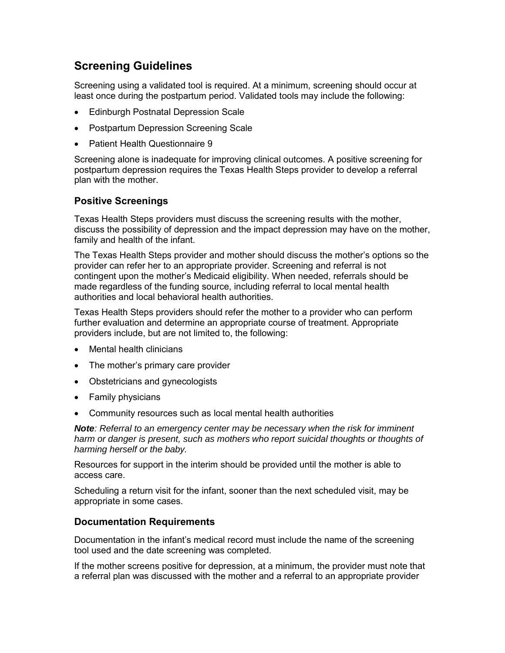### **Screening Guidelines**

 Screening using a validated tool is required. At a minimum, screening should occur at least once during the postpartum period. Validated tools may include the following:

- Edinburgh Postnatal Depression Scale
- Postpartum Depression Screening Scale
- Patient Health Questionnaire 9

Screening alone is inadequate for improving clinical outcomes. A positive screening for postpartum depression requires the Texas Health Steps provider to develop a referral plan with the mother.

#### **Positive Screenings**

 Texas Health Steps providers must discuss the screening results with the mother, discuss the possibility of depression and the impact depression may have on the mother, family and health of the infant.

 The Texas Health Steps provider and mother should discuss the mother's options so the provider can refer her to an appropriate provider. Screening and referral is not contingent upon the mother's Medicaid eligibility. When needed, referrals should be made regardless of the funding source, including referral to local mental health authorities and local behavioral health authorities.

 providers include, but are not limited to, the following: Texas Health Steps providers should refer the mother to a provider who can perform further evaluation and determine an appropriate course of treatment. Appropriate

- Mental health clinicians
- The mother's primary care provider
- Obstetricians and gynecologists
- Family physicians
- Community resources such as local mental health authorities

 *Note: Referral to an emergency center may be necessary when the risk for imminent harm or danger is present, such as mothers who report suicidal thoughts or thoughts of harming herself or the baby.* 

 Resources for support in the interim should be provided until the mother is able to access care.

Scheduling a return visit for the infant, sooner than the next scheduled visit, may be appropriate in some cases.

#### **Documentation Requirements**

 Documentation in the infant's medical record must include the name of the screening tool used and the date screening was completed.

tool used and the date screening was completed.<br>If the mother screens positive for depression, at a minimum, the provider must note that a referral plan was discussed with the mother and a referral to an appropriate provider